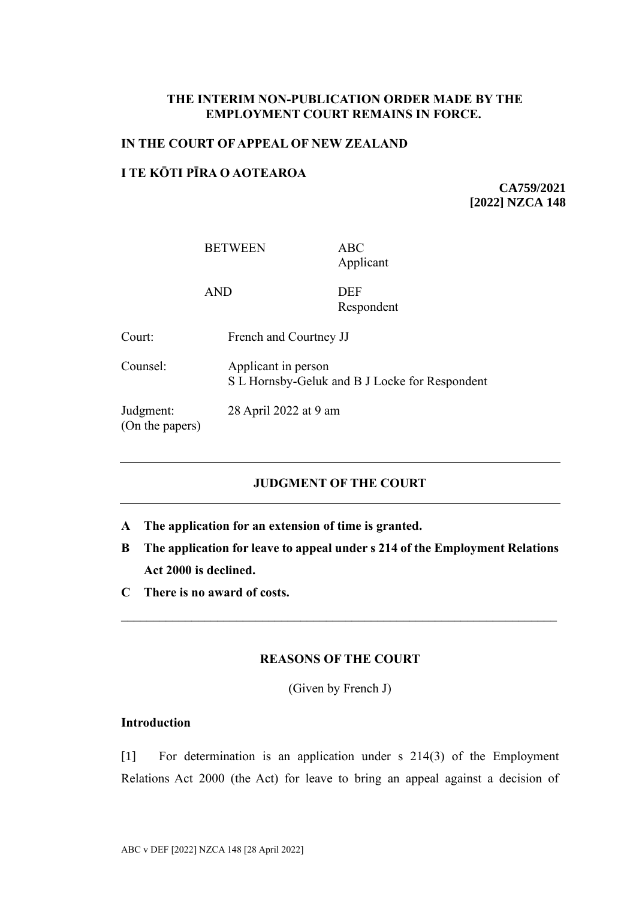## **THE INTERIM NON-PUBLICATION ORDER MADE BY THE EMPLOYMENT COURT REMAINS IN FORCE.**

#### **IN THE COURT OF APPEAL OF NEW ZEALAND**

### **I TE KŌTI PĪRA O AOTEAROA**

**CA759/2021 [2022] NZCA 148**

BETWEEN ABC

Applicant

AND DEF

Respondent

Court: French and Courtney JJ

Counsel: Applicant in person S L Hornsby-Geluk and B J Locke for Respondent

Judgment: 28 April 2022 at 9 am

(On the papers)

# **JUDGMENT OF THE COURT**

- **A The application for an extension of time is granted.**
- **B The application for leave to appeal under s 214 of the Employment Relations Act 2000 is declined.**
- **C There is no award of costs.**

## **REASONS OF THE COURT**

(Given by French J)

## **Introduction**

[1] For determination is an application under s 214(3) of the Employment Relations Act 2000 (the Act) for leave to bring an appeal against a decision of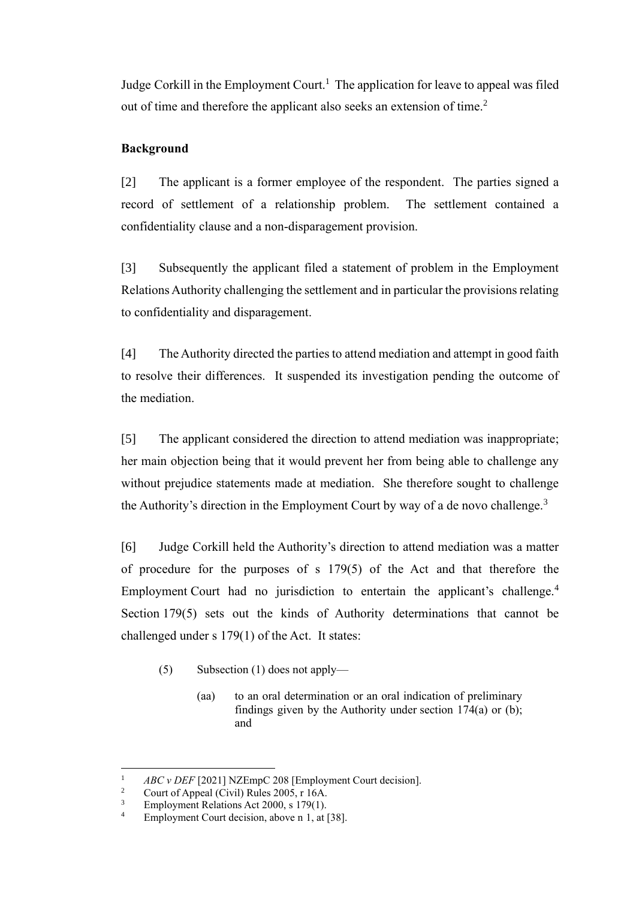<span id="page-1-0"></span>Judge Corkill in the Employment Court.<sup>1</sup> The application for leave to appeal was filed out of time and therefore the applicant also seeks an extension of time.<sup>2</sup>

# **Background**

[2] The applicant is a former employee of the respondent. The parties signed a record of settlement of a relationship problem. The settlement contained a confidentiality clause and a non-disparagement provision.

[3] Subsequently the applicant filed a statement of problem in the Employment Relations Authority challenging the settlement and in particular the provisions relating to confidentiality and disparagement.

[4] The Authority directed the parties to attend mediation and attempt in good faith to resolve their differences. It suspended its investigation pending the outcome of the mediation.

[5] The applicant considered the direction to attend mediation was inappropriate; her main objection being that it would prevent her from being able to challenge any without prejudice statements made at mediation. She therefore sought to challenge the Authority's direction in the Employment Court by way of a de novo challenge.<sup>3</sup>

[6] Judge Corkill held the Authority's direction to attend mediation was a matter of procedure for the purposes of s 179(5) of the Act and that therefore the Employment Court had no jurisdiction to entertain the applicant's challenge.<sup>4</sup> Section 179(5) sets out the kinds of Authority determinations that cannot be challenged under s 179(1) of the Act. It states:

- (5) Subsection (1) does not apply—
	- (aa) to an oral determination or an oral indication of preliminary findings given by the Authority under section  $174(a)$  or (b); and

<sup>&</sup>lt;sup>1</sup> *ABC v DEF* [2021] NZEmpC 208 [Employment Court decision].<br><sup>2</sup> Court of Anneal (Civil) Bulge 2005 r 16A

<sup>&</sup>lt;sup>2</sup> Court of Appeal (Civil) Rules 2005, r 16A.<br><sup>3</sup> Employment Relations Act 2000 s 179(1)

<sup>&</sup>lt;sup>3</sup> Employment Relations Act 2000, s 179(1).<br><sup>4</sup> Employment Court decision, above n 1, at 1

Employment Court decision, above n [1,](#page-1-0) at [38].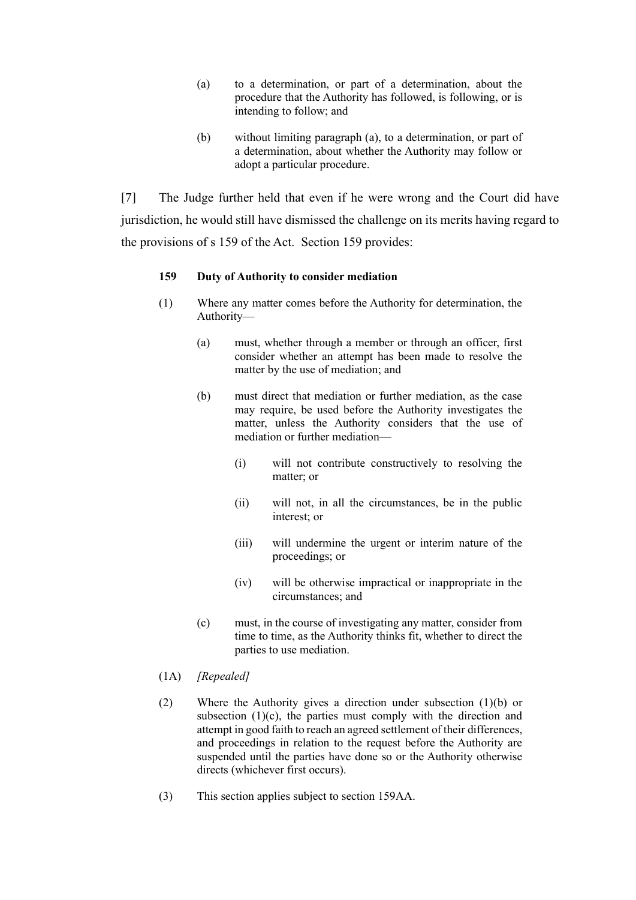- (a) to a determination, or part of a determination, about the procedure that the Authority has followed, is following, or is intending to follow; and
- (b) without limiting paragraph (a), to a determination, or part of a determination, about whether the Authority may follow or adopt a particular procedure.

[7] The Judge further held that even if he were wrong and the Court did have jurisdiction, he would still have dismissed the challenge on its merits having regard to the provisions of s 159 of the Act. Section 159 provides:

### **159 Duty of Authority to consider mediation**

- (1) Where any matter comes before the Authority for determination, the Authority—
	- (a) must, whether through a member or through an officer, first consider whether an attempt has been made to resolve the matter by the use of mediation; and
	- (b) must direct that mediation or further mediation, as the case may require, be used before the Authority investigates the matter, unless the Authority considers that the use of mediation or further mediation—
		- (i) will not contribute constructively to resolving the matter; or
		- (ii) will not, in all the circumstances, be in the public interest; or
		- (iii) will undermine the urgent or interim nature of the proceedings; or
		- (iv) will be otherwise impractical or inappropriate in the circumstances; and
	- (c) must, in the course of investigating any matter, consider from time to time, as the Authority thinks fit, whether to direct the parties to use mediation.
- (1A) *[Repealed]*
- (2) Where the Authority gives a direction under subsection (1)(b) or subsection  $(1)(c)$ , the parties must comply with the direction and attempt in good faith to reach an agreed settlement of their differences, and proceedings in relation to the request before the Authority are suspended until the parties have done so or the Authority otherwise directs (whichever first occurs).
- (3) This section applies subject to [section 159AA.](https://www.legislation.govt.nz/act/public/2000/0024/latest/whole.html#DLM6803201)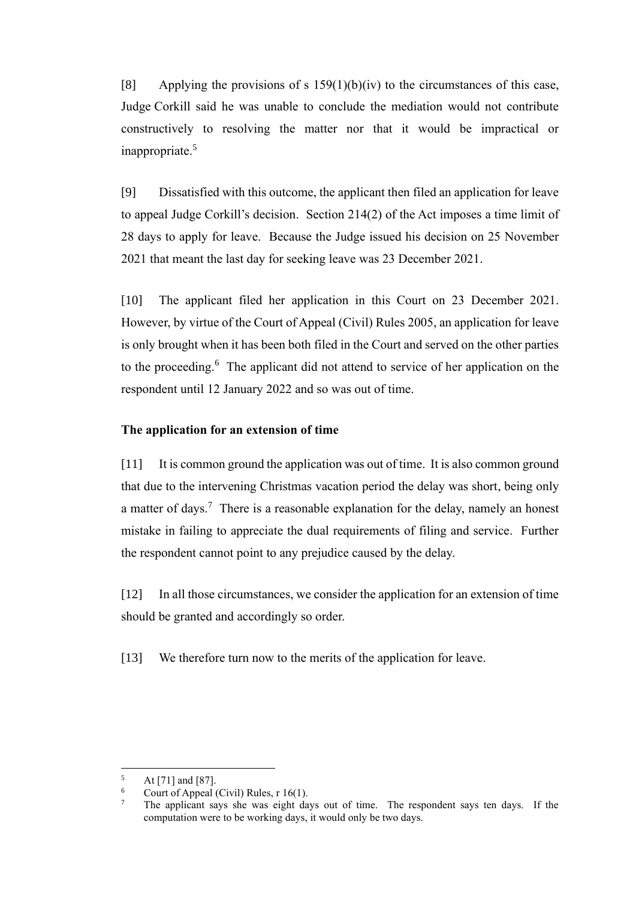[8] Applying the provisions of s  $159(1)(b)(iv)$  to the circumstances of this case, Judge Corkill said he was unable to conclude the mediation would not contribute constructively to resolving the matter nor that it would be impractical or inappropriate.<sup>5</sup>

[9] Dissatisfied with this outcome, the applicant then filed an application for leave to appeal Judge Corkill's decision. Section 214(2) of the Act imposes a time limit of 28 days to apply for leave. Because the Judge issued his decision on 25 November 2021 that meant the last day for seeking leave was 23 December 2021.

[10] The applicant filed her application in this Court on 23 December 2021. However, by virtue of the Court of Appeal (Civil) Rules 2005, an application for leave is only brought when it has been both filed in the Court and served on the other parties to the proceeding. <sup>6</sup> The applicant did not attend to service of her application on the respondent until 12 January 2022 and so was out of time.

### **The application for an extension of time**

[11] It is common ground the application was out of time. It is also common ground that due to the intervening Christmas vacation period the delay was short, being only a matter of days.<sup>7</sup> There is a reasonable explanation for the delay, namely an honest mistake in failing to appreciate the dual requirements of filing and service. Further the respondent cannot point to any prejudice caused by the delay.

[12] In all those circumstances, we consider the application for an extension of time should be granted and accordingly so order.

[13] We therefore turn now to the merits of the application for leave.

 $5$  At [71] and [87].

 $\frac{6}{7}$  Court of Appeal (Civil) Rules, r 16(1).

<sup>7</sup> The applicant says she was eight days out of time. The respondent says ten days. If the computation were to be working days, it would only be two days.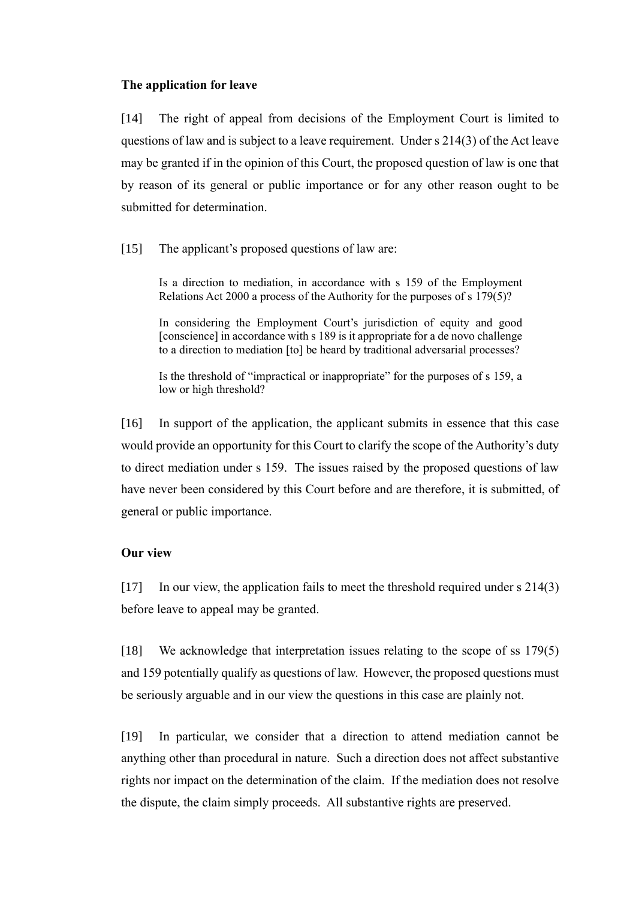#### **The application for leave**

[14] The right of appeal from decisions of the Employment Court is limited to questions of law and is subject to a leave requirement. Under s 214(3) of the Act leave may be granted if in the opinion of this Court, the proposed question of law is one that by reason of its general or public importance or for any other reason ought to be submitted for determination.

[15] The applicant's proposed questions of law are:

Is a direction to mediation, in accordance with s 159 of the Employment Relations Act 2000 a process of the Authority for the purposes of s 179(5)?

In considering the Employment Court's jurisdiction of equity and good [conscience] in accordance with s 189 is it appropriate for a de novo challenge to a direction to mediation [to] be heard by traditional adversarial processes?

Is the threshold of "impractical or inappropriate" for the purposes of s 159, a low or high threshold?

[16] In support of the application, the applicant submits in essence that this case would provide an opportunity for this Court to clarify the scope of the Authority's duty to direct mediation under s 159. The issues raised by the proposed questions of law have never been considered by this Court before and are therefore, it is submitted, of general or public importance.

## **Our view**

[17] In our view, the application fails to meet the threshold required under s 214(3) before leave to appeal may be granted.

[18] We acknowledge that interpretation issues relating to the scope of ss 179(5) and 159 potentially qualify as questions of law. However, the proposed questions must be seriously arguable and in our view the questions in this case are plainly not.

[19] In particular, we consider that a direction to attend mediation cannot be anything other than procedural in nature. Such a direction does not affect substantive rights nor impact on the determination of the claim. If the mediation does not resolve the dispute, the claim simply proceeds. All substantive rights are preserved.